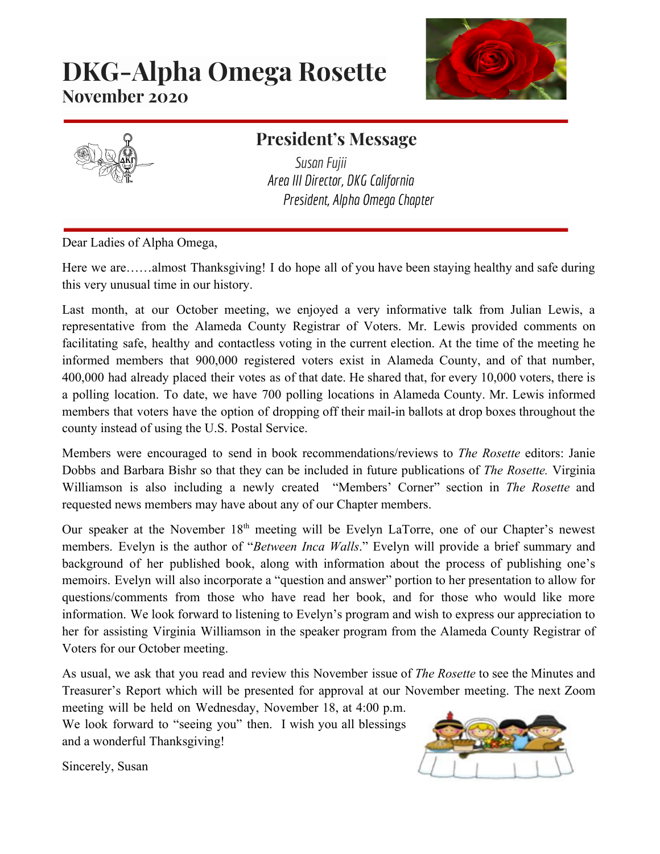# **DKG-Alpha Omega Rosette November 2020**





## **President's Message**

*SusanFujii Area III Director, DKG California President, Alpha Omega Chapter*

Dear Ladies of Alpha Omega,

Here we are……almost Thanksgiving! I do hope all of you have been staying healthy and safe during this very unusual time in our history.

Last month, at our October meeting, we enjoyed a very informative talk from Julian Lewis, a representative from the Alameda County Registrar of Voters. Mr. Lewis provided comments on facilitating safe, healthy and contactless voting in the current election. At the time of the meeting he informed members that 900,000 registered voters exist in Alameda County, and of that number, 400,000 had already placed their votes as of that date. He shared that, for every 10,000 voters, there is a polling location. To date, we have 700 polling locations in Alameda County. Mr. Lewis informed members that voters have the option of dropping off their mail-in ballots at drop boxes throughout the county instead of using the U.S. Postal Service.

Members were encouraged to send in book recommendations/reviews to *The Rosette* editors: Janie Dobbs and Barbara Bishr so that they can be included in future publications of *The Rosette.* Virginia Williamson is also including a newly created "Members' Corner" section in *The Rosette* and requested news members may have about any of our Chapter members.

Our speaker at the November 18<sup>th</sup> meeting will be Evelyn LaTorre, one of our Chapter's newest members. Evelyn is the author of "*Between Inca Walls*." Evelyn will provide a brief summary and background of her published book, along with information about the process of publishing one's memoirs. Evelyn will also incorporate a "question and answer" portion to her presentation to allow for questions/comments from those who have read her book, and for those who would like more information. We look forward to listening to Evelyn's program and wish to express our appreciation to her for assisting Virginia Williamson in the speaker program from the Alameda County Registrar of Voters for our October meeting.

As usual, we ask that you read and review this November issue of *The Rosette* to see the Minutes and Treasurer's Report which will be presented for approval at our November meeting. The next Zoom meeting will be held on Wednesday, November 18, at 4:00 p.m.

We look forward to "seeing you" then. I wish you all blessings and a wonderful Thanksgiving!



Sincerely, Susan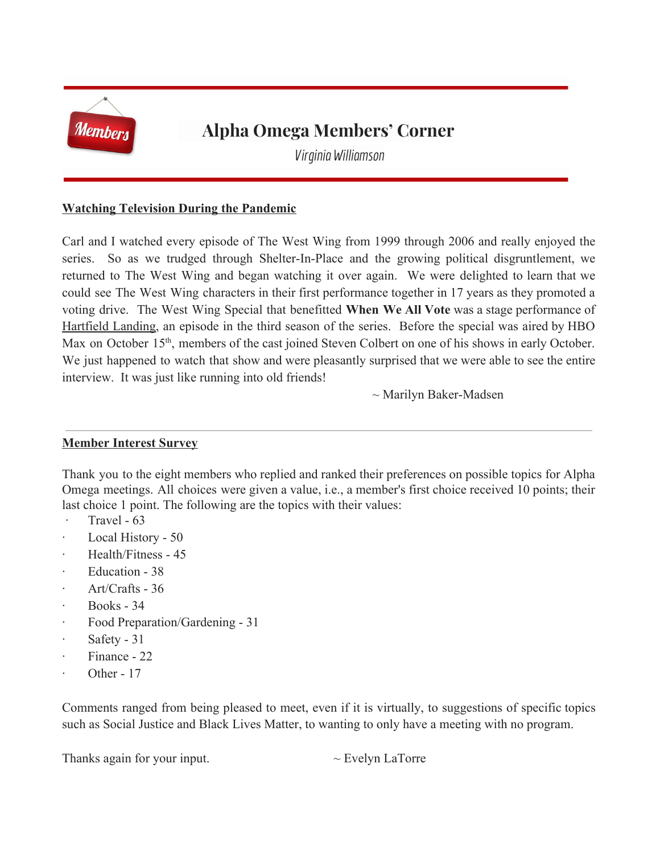

## **Alpha Omega Members' Corner**

*Virginia Williamson*

#### **Watching Television During the Pandemic**

Carl and I watched every episode of The West Wing from 1999 through 2006 and really enjoyed the series. So as we trudged through Shelter-In-Place and the growing political disgruntlement, we returned to The West Wing and began watching it over again. We were delighted to learn that we could see The West Wing characters in their first performance together in 17 years as they promoted a voting drive. The West Wing Special that benefitted **When We All Vote** was a stage performance of Hartfield Landing, an episode in the third season of the series. Before the special was aired by HBO Max on October 15<sup>th</sup>, members of the cast joined Steven Colbert on one of his shows in early October. We just happened to watch that show and were pleasantly surprised that we were able to see the entire interview. It was just like running into old friends!

~ Marilyn Baker-Madsen

#### **Member Interest Survey**

Thank you to the eight members who replied and ranked their preferences on possible topics for Alpha Omega meetings. All choices were given a value, i.e., a member's first choice received 10 points; their last choice 1 point. The following are the topics with their values:

- $\cdot$  Travel 63
- Local History 50
- · Health/Fitness 45
- Education 38
- · Art/Crafts 36
- · Books 34
- Food Preparation/Gardening 31
- Safety 31
- Finance 22
- Other 17

Comments ranged from being pleased to meet, even if it is virtually, to suggestions of specific topics such as Social Justice and Black Lives Matter, to wanting to only have a meeting with no program.

Thanks again for your input.  $\sim$  Evelyn LaTorre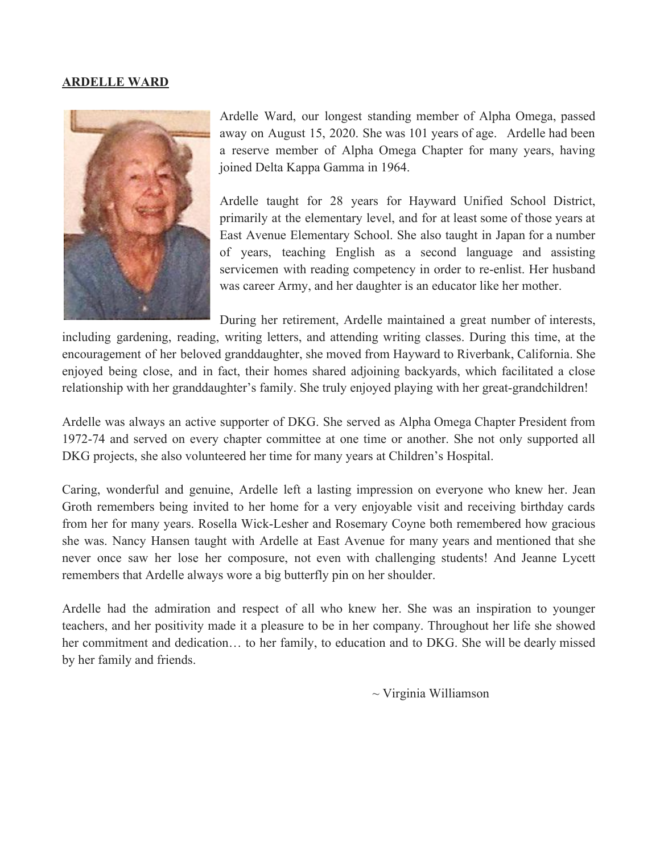#### **ARDELLE WARD**



Ardelle Ward, our longest standing member of Alpha Omega, passed away on August 15, 2020. She was 101 years of age. Ardelle had been a reserve member of Alpha Omega Chapter for many years, having joined Delta Kappa Gamma in 1964.

Ardelle taught for 28 years for Hayward Unified School District, primarily at the elementary level, and for at least some of those years at East Avenue Elementary School. She also taught in Japan for a number of years, teaching English as a second language and assisting servicemen with reading competency in order to re-enlist. Her husband was career Army, and her daughter is an educator like her mother.

During her retirement, Ardelle maintained a great number of interests, including gardening, reading, writing letters, and attending writing classes. During this time, at the encouragement of her beloved granddaughter, she moved from Hayward to Riverbank, California. She enjoyed being close, and in fact, their homes shared adjoining backyards, which facilitated a close relationship with her granddaughter's family. She truly enjoyed playing with her great-grandchildren!

Ardelle was always an active supporter of DKG. She served as Alpha Omega Chapter President from 1972-74 and served on every chapter committee at one time or another. She not only supported all DKG projects, she also volunteered her time for many years at Children's Hospital.

Caring, wonderful and genuine, Ardelle left a lasting impression on everyone who knew her. Jean Groth remembers being invited to her home for a very enjoyable visit and receiving birthday cards from her for many years. Rosella Wick-Lesher and Rosemary Coyne both remembered how gracious she was. Nancy Hansen taught with Ardelle at East Avenue for many years and mentioned that she never once saw her lose her composure, not even with challenging students! And Jeanne Lycett remembers that Ardelle always wore a big butterfly pin on her shoulder.

Ardelle had the admiration and respect of all who knew her. She was an inspiration to younger teachers, and her positivity made it a pleasure to be in her company. Throughout her life she showed her commitment and dedication... to her family, to education and to DKG. She will be dearly missed by her family and friends.

~ Virginia Williamson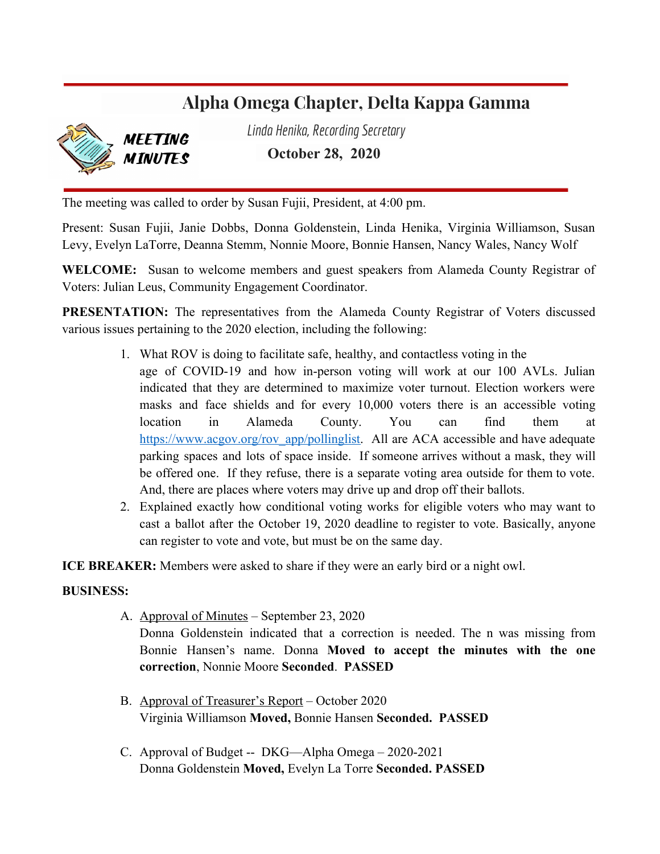## **Alpha Omega Chapter, Delta Kappa Gamma**



**MFFTING MINUTES**  *Linda Henika, RecordingSecretary* **October 28, 2020**

The meeting was called to order by Susan Fujii, President, at 4:00 pm.

Present: Susan Fujii, Janie Dobbs, Donna Goldenstein, Linda Henika, Virginia Williamson, Susan Levy, Evelyn LaTorre, Deanna Stemm, Nonnie Moore, Bonnie Hansen, Nancy Wales, Nancy Wolf

**WELCOME:** Susan to welcome members and guest speakers from Alameda County Registrar of Voters: Julian Leus, Community Engagement Coordinator.

**PRESENTATION:** The representatives from the Alameda County Registrar of Voters discussed various issues pertaining to the 2020 election, including the following:

- 1. What ROV is doing to facilitate safe, healthy, and contactless voting in the age of COVID-19 and how in-person voting will work at our 100 AVLs. Julian indicated that they are determined to maximize voter turnout. Election workers were masks and face shields and for every 10,000 voters there is an accessible voting location in Alameda County. You can find them at [https://www.acgov.org/rov\\_app/pollinglist](https://www.acgov.org/rov_app/pollinglist). All are ACA accessible and have adequate parking spaces and lots of space inside. If someone arrives without a mask, they will be offered one. If they refuse, there is a separate voting area outside for them to vote. And, there are places where voters may drive up and drop off their ballots.
- 2. Explained exactly how conditional voting works for eligible voters who may want to cast a ballot after the October 19, 2020 deadline to register to vote. Basically, anyone can register to vote and vote, but must be on the same day.

**ICE BREAKER:** Members were asked to share if they were an early bird or a night owl.

#### **BUSINESS:**

A. Approval of Minutes – September 23, 2020

Donna Goldenstein indicated that a correction is needed. The n was missing from Bonnie Hansen's name. Donna **Moved to accept the minutes with the one correction**, Nonnie Moore **Seconded**. **PASSED**

- B. Approval of Treasurer's Report October 2020 Virginia Williamson **Moved,** Bonnie Hansen **Seconded. PASSED**
- C. Approval of Budget -- DKG—Alpha Omega 2020-2021 Donna Goldenstein **Moved,** Evelyn La Torre **Seconded. PASSED**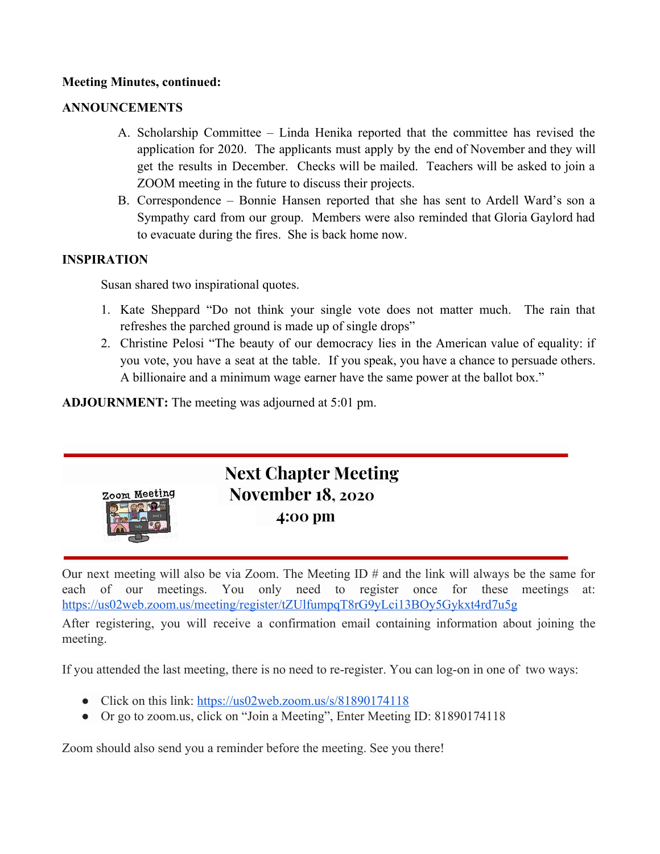#### **Meeting Minutes, continued:**

#### **ANNOUNCEMENTS**

- A. Scholarship Committee Linda Henika reported that the committee has revised the application for 2020. The applicants must apply by the end of November and they will get the results in December. Checks will be mailed. Teachers will be asked to join a ZOOM meeting in the future to discuss their projects.
- B. Correspondence Bonnie Hansen reported that she has sent to Ardell Ward's son a Sympathy card from our group. Members were also reminded that Gloria Gaylord had to evacuate during the fires. She is back home now.

#### **INSPIRATION**

Susan shared two inspirational quotes.

- 1. Kate Sheppard "Do not think your single vote does not matter much. The rain that refreshes the parched ground is made up of single drops"
- 2. Christine Pelosi "The beauty of our democracy lies in the American value of equality: if you vote, you have a seat at the table. If you speak, you have a chance to persuade others. A billionaire and a minimum wage earner have the same power at the ballot box."

**ADJOURNMENT:** The meeting was adjourned at 5:01 pm.



Our next meeting will also be via Zoom. The Meeting ID  $\#$  and the link will always be the same for each of our meetings. You only need to register once for these meetings at: <https://us02web.zoom.us/meeting/register/tZUlfumpqT8rG9yLci13BOy5Gykxt4rd7u5g>

After registering, you will receive a confirmation email containing information about joining the meeting.

If you attended the last meeting, there is no need to re-register. You can log-on in one of two ways:

- Click on this link: <https://us02web.zoom.us/s/81890174118>
- Or go to zoom.us, click on "Join a Meeting", Enter Meeting ID: 81890174118

Zoom should also send you a reminder before the meeting. See you there!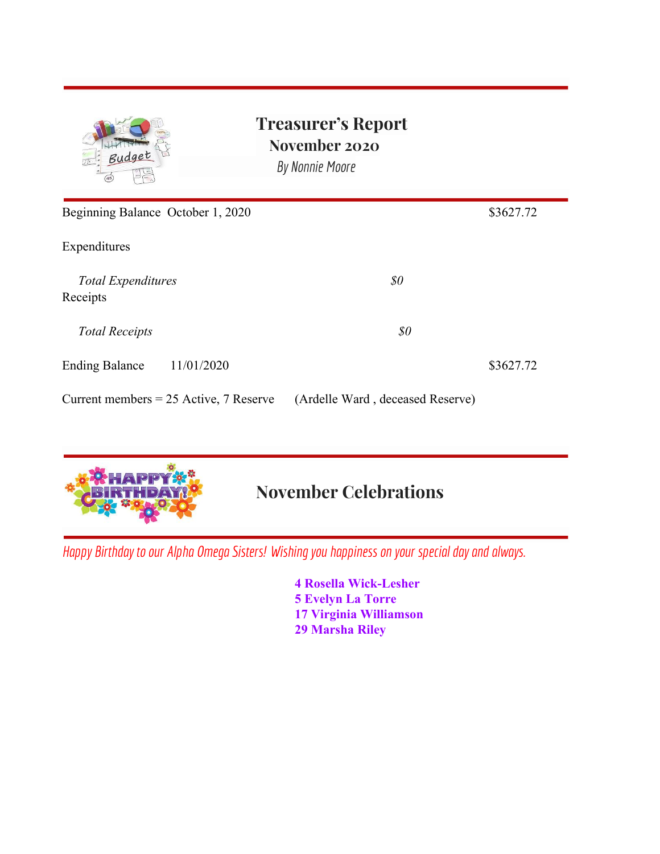| Budget<br>45                             | <b>Treasurer's Report</b><br>November 2020<br>By Nonnie Moore |           |
|------------------------------------------|---------------------------------------------------------------|-----------|
| Beginning Balance October 1, 2020        |                                                               | \$3627.72 |
| Expenditures                             |                                                               |           |
| <b>Total Expenditures</b><br>Receipts    | $\$0$                                                         |           |
| <b>Total Receipts</b>                    | \$0                                                           |           |
| 11/01/2020<br><b>Ending Balance</b>      |                                                               | \$3627.72 |
| Current members $= 25$ Active, 7 Reserve | (Ardelle Ward, deceased Reserve)                              |           |



# **November Celebrations**

*Happy* Birthday to our *Alpha Omega Sisters!* Wishing you happiness on your special day and always.

**4 Rosella Wick-Lesher 5 Evelyn La Torre 17 Virginia Williamson 29 Marsha Riley**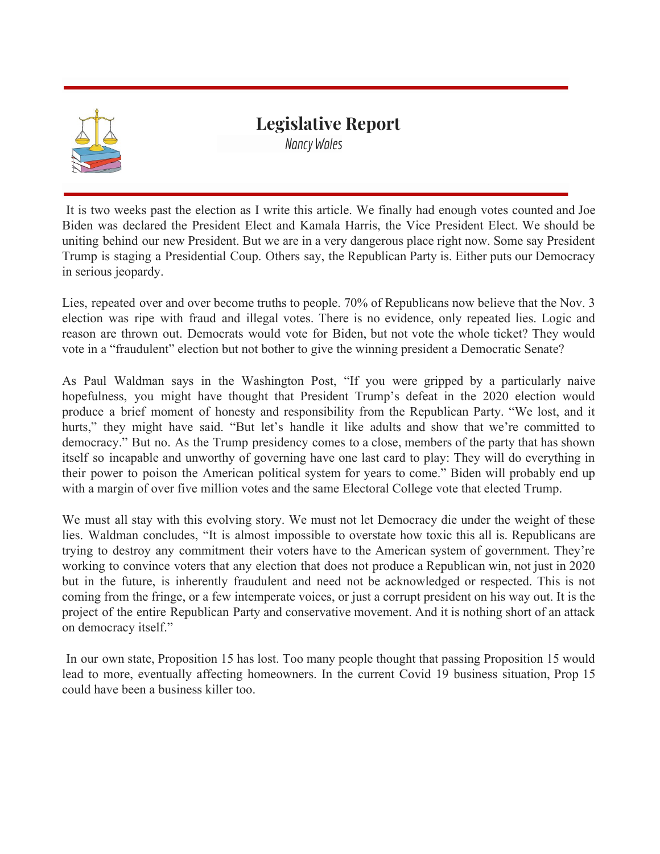

### **Legislative Report** *Nancy Wales*

It is two weeks past the election as I write this article. We finally had enough votes counted and Joe Biden was declared the President Elect and Kamala Harris, the Vice President Elect. We should be uniting behind our new President. But we are in a very dangerous place right now. Some say President Trump is staging a Presidential Coup. Others say, the Republican Party is. Either puts our Democracy in serious jeopardy.

Lies, repeated over and over become truths to people. 70% of Republicans now believe that the Nov. 3 election was ripe with fraud and illegal votes. There is no evidence, only repeated lies. Logic and reason are thrown out. Democrats would vote for Biden, but not vote the whole ticket? They would vote in a "fraudulent" election but not bother to give the winning president a Democratic Senate?

As Paul Waldman says in the Washington Post, "If you were gripped by a particularly naive hopefulness, you might have thought that President Trump's defeat in the 2020 election would produce a brief moment of honesty and responsibility from the Republican Party. "We lost, and it hurts," they might have said. "But let's handle it like adults and show that we're committed to democracy." But no. As the Trump presidency comes to a close, members of the party that has shown itself so incapable and unworthy of governing have one last card to play: They will do everything in their power to poison the American political system for years to come." Biden will probably end up with a margin of over five million votes and the same Electoral College vote that elected Trump.

We must all stay with this evolving story. We must not let Democracy die under the weight of these lies. Waldman concludes, "It is almost impossible to overstate how toxic this all is. Republicans are trying to destroy any commitment their voters have to the American system of government. They're working to convince voters that any election that does not produce a Republican win, not just in 2020 but in the future, is inherently fraudulent and need not be acknowledged or respected. This is not coming from the fringe, or a few intemperate voices, or just a corrupt president on his way out. It is the project of the entire Republican Party and conservative movement. And it is nothing short of an attack on democracy itself."

In our own state, Proposition 15 has lost. Too many people thought that passing Proposition 15 would lead to more, eventually affecting homeowners. In the current Covid 19 business situation, Prop 15 could have been a business killer too.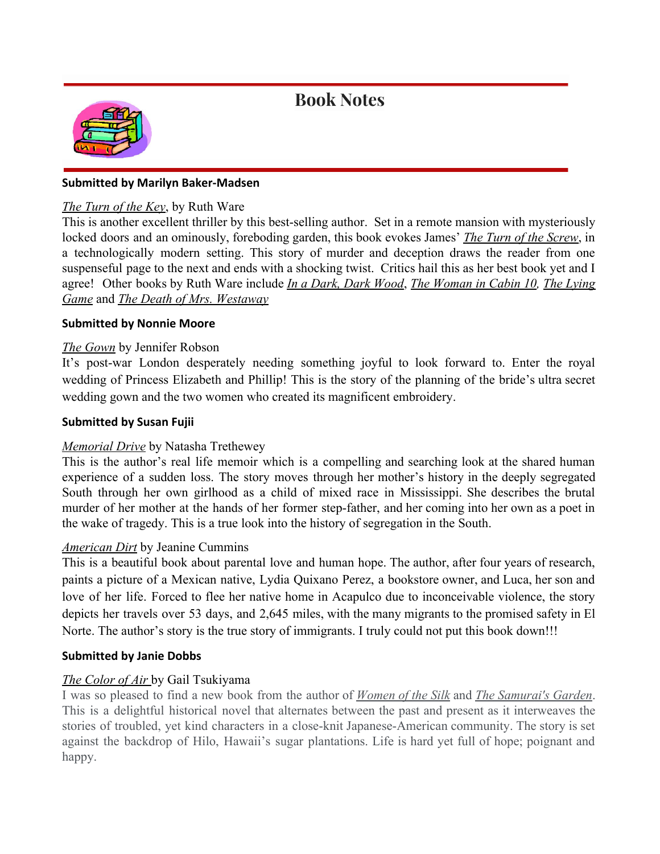### **Book Notes**



#### **Submitted by Marilyn Baker-Madsen**

#### *The Turn of the Key*, by Ruth Ware

This is another excellent thriller by this best-selling author. Set in a remote mansion with mysteriously locked doors and an ominously, foreboding garden, this book evokes James' *The Turn of the Screw*, in a technologically modern setting. This story of murder and deception draws the reader from one suspenseful page to the next and ends with a shocking twist. Critics hail this as her best book yet and I agree! Other books by Ruth Ware include *In a Dark, Dark Wood*, *The Woman in Cabin 10, The Lying Game* and *The Death of Mrs. Westaway*

#### **Submitted by Nonnie Moore**

#### *The Gown* by Jennifer Robson

It's post-war London desperately needing something joyful to look forward to. Enter the royal wedding of Princess Elizabeth and Phillip! This is the story of the planning of the bride's ultra secret wedding gown and the two women who created its magnificent embroidery.

#### **Submitted by Susan Fujii**

#### *Memorial Drive* by Natasha Trethewey

This is the author's real life memoir which is a compelling and searching look at the shared human experience of a sudden loss. The story moves through her mother's history in the deeply segregated South through her own girlhood as a child of mixed race in Mississippi. She describes the brutal murder of her mother at the hands of her former step-father, and her coming into her own as a poet in the wake of tragedy. This is a true look into the history of segregation in the South.

#### *American Dirt* by Jeanine Cummins

This is a beautiful book about parental love and human hope. The author, after four years of research, paints a picture of a Mexican native, Lydia Quixano Perez, a bookstore owner, and Luca, her son and love of her life. Forced to flee her native home in Acapulco due to inconceivable violence, the story depicts her travels over 53 days, and 2,645 miles, with the many migrants to the promised safety in El Norte. The author's story is the true story of immigrants. I truly could not put this book down!!!

#### **Submitted by Janie Dobbs**

#### *The Color of Air* by Gail Tsukiyama

I was so pleased to find a new book from the author of *Women of the Silk* and *The Samurai's Garden*. This is a delightful historical novel that alternates between the past and present as it interweaves the stories of troubled, yet kind characters in a close-knit Japanese-American community. The story is set against the backdrop of Hilo, Hawaii's sugar plantations. Life is hard yet full of hope; poignant and happy.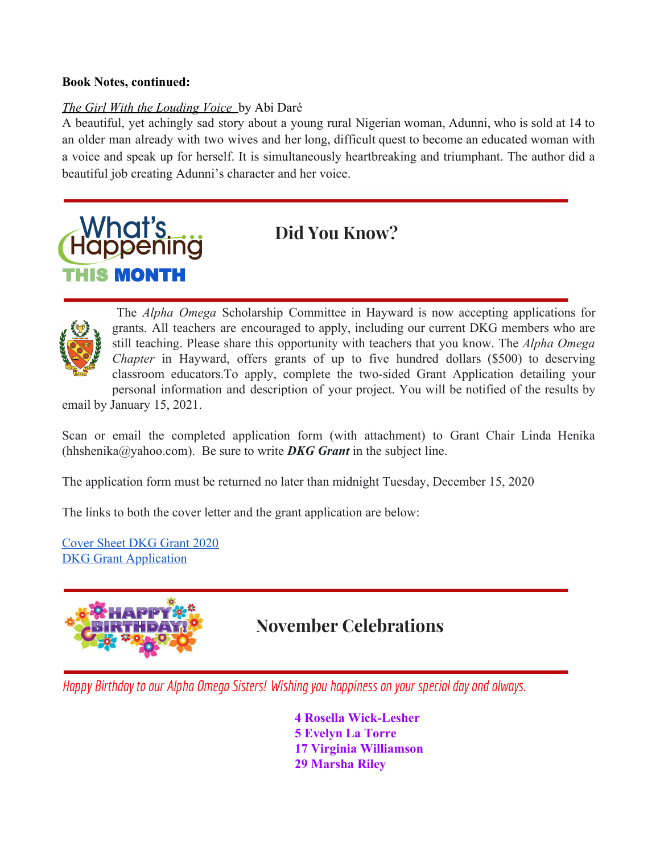#### **Book Notes, continued:**

#### *The Girl With the Louding Voice* by Abi Daré

A beautiful, yet achingly sad story about a young rural Nigerian woman, Adunni, who is sold at 14 to an older man already with two wives and her long, difficult quest to become an educated woman with a voice and speak up for herself. It is simultaneously heartbreaking and triumphant. The author did a beautiful job creating Adunni's character and her voice.

# What's **Happening** THIS MONTH

**Did You Know?**



The *Alpha Omega* Scholarship Committee in Hayward is now accepting applications for grants. All teachers are encouraged to apply, including our current DKG members who are still teaching. Please share this opportunity with teachers that you know. The *Alpha Omega Chapter* in Hayward, offers grants of up to five hundred dollars (\$500) to deserving classroom educators.To apply, complete the two-sided Grant Application detailing your personal information and description of your project. You will be notified of the results by

email by January 15, 2021.

Scan or email the completed application form (with attachment) to Grant Chair Linda Henika (hhshenika@yahoo.com). Be sure to write **DKG Grant** in the subject line.

The application form must be returned no later than midnight Tuesday, December 15, 2020

The links to both the cover letter and the grant application are below:

[Cover Sheet DKG Grant 2020](https://docs.google.com/document/d/1Q2u5TIMKakQDwCa74gprkQ6q7rxKkEKOWVyEKCUEWaM/edit?usp=sharing) **DKG** Grant Application



## **November Celebrations**

*Happy Birthday to our Alpha OmegaSisters! Wishing youhappiness onyour specialday andalways.*

**4 Rosella Wick-Lesher 5 Evelyn La Torre 17 Virginia Williamson 29 Marsha Riley**